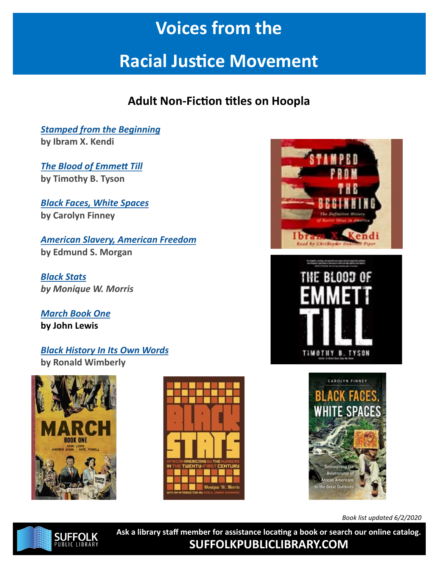## **Voices from the**

# **Racial Justice Movement**

### **Adult Non-Fiction titles on Hoopla**

*[Stamped from the Beginning](https://www.hoopladigital.com/search?page=1&q=stamped+from+the+beginning&scope=everything&type=direct)* **by Ibram X. Kendi**

*[The Blood of Emmett Till](https://www.hoopladigital.com/search?scope=everything&q=The%20Blood%20of%20Emmett%20Till)* **by Timothy B. Tyson**

*[Black Faces, White Spaces](https://www.hoopladigital.com/search?scope=everything&q=Black%20Faces%2C%20White%20Spaces)* **by Carolyn Finney**

*[American Slavery, American Freedom](https://www.hoopladigital.com/search?page=1&q=american+slavery%2C+american+freedom&scope=everything&type=direct)* **by Edmund S. Morgan**

*[Black Stats](https://www.hoopladigital.com/search?page=1&q=black+stats&scope=everything&type=direct) by Monique W. Morris*

*[March Book One](https://www.hoopladigital.com/search?scope=everything&q=March%3A%20Book%20One)* **by John Lewis**

#### *[Black History In Its Own Words](https://www.hoopladigital.com/search?page=1&q=Black+History+In+Its+Own+Words&scope=everything&type=direct)* **by Ronald Wimberly**











*Book list updated 6/2/2020*



**Ask a library staff member for assistance locating a book or search our online catalog. SUFFOLKPUBLICLIBRARY.COM**